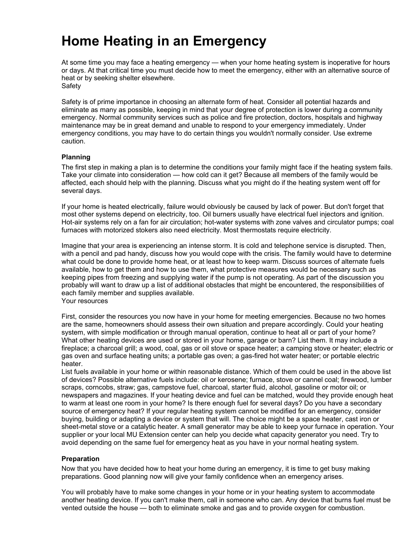# **Home Heating in an Emergency**

At some time you may face a heating emergency — when your home heating system is inoperative for hours or days. At that critical time you must decide how to meet the emergency, either with an alternative source of heat or by seeking shelter elsewhere. **Safety** 

Safety is of prime importance in choosing an alternate form of heat. Consider all potential hazards and eliminate as many as possible, keeping in mind that your degree of protection is lower during a community emergency. Normal community services such as police and fire protection, doctors, hospitals and highway maintenance may be in great demand and unable to respond to your emergency immediately. Under emergency conditions, you may have to do certain things you wouldn't normally consider. Use extreme caution.

# **Planning**

The first step in making a plan is to determine the conditions your family might face if the heating system fails. Take your climate into consideration — how cold can it get? Because all members of the family would be affected, each should help with the planning. Discuss what you might do if the heating system went off for several days.

If your home is heated electrically, failure would obviously be caused by lack of power. But don't forget that most other systems depend on electricity, too. Oil burners usually have electrical fuel injectors and ignition. Hot-air systems rely on a fan for air circulation; hot-water systems with zone valves and circulator pumps; coal furnaces with motorized stokers also need electricity. Most thermostats require electricity.

Imagine that your area is experiencing an intense storm. It is cold and telephone service is disrupted. Then, with a pencil and pad handy, discuss how you would cope with the crisis. The family would have to determine what could be done to provide home heat, or at least how to keep warm. Discuss sources of alternate fuels available, how to get them and how to use them, what protective measures would be necessary such as keeping pipes from freezing and supplying water if the pump is not operating. As part of the discussion you probably will want to draw up a list of additional obstacles that might be encountered, the responsibilities of each family member and supplies available. Your resources

First, consider the resources you now have in your home for meeting emergencies. Because no two homes are the same, homeowners should assess their own situation and prepare accordingly. Could your heating system, with simple modification or through manual operation, continue to heat all or part of your home? What other heating devices are used or stored in your home, garage or barn? List them. It may include a fireplace; a charcoal grill; a wood, coal, gas or oil stove or space heater; a camping stove or heater; electric or gas oven and surface heating units; a portable gas oven; a gas-fired hot water heater; or portable electric heater.

List fuels available in your home or within reasonable distance. Which of them could be used in the above list of devices? Possible alternative fuels include: oil or kerosene; furnace, stove or cannel coal; firewood, lumber scraps, corncobs, straw; gas, campstove fuel, charcoal, starter fluid, alcohol, gasoline or motor oil; or newspapers and magazines. If your heating device and fuel can be matched, would they provide enough heat to warm at least one room in your home? Is there enough fuel for several days? Do you have a secondary source of emergency heat? If your regular heating system cannot be modified for an emergency, consider buying, building or adapting a device or system that will. The choice might be a space heater, cast iron or sheet-metal stove or a catalytic heater. A small generator may be able to keep your furnace in operation. Your supplier or your local MU Extension center can help you decide what capacity generator you need. Try to avoid depending on the same fuel for emergency heat as you have in your normal heating system.

# **Preparation**

Now that you have decided how to heat your home during an emergency, it is time to get busy making preparations. Good planning now will give your family confidence when an emergency arises.

You will probably have to make some changes in your home or in your heating system to accommodate another heating device. If you can't make them, call in someone who can. Any device that burns fuel must be vented outside the house — both to eliminate smoke and gas and to provide oxygen for combustion.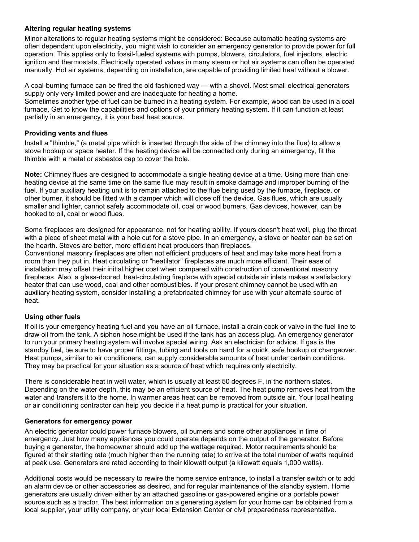# **Altering regular heating systems**

Minor alterations to regular heating systems might be considered: Because automatic heating systems are often dependent upon electricity, you might wish to consider an emergency generator to provide power for full operation. This applies only to fossil-fueled systems with pumps, blowers, circulators, fuel injectors, electric ignition and thermostats. Electrically operated valves in many steam or hot air systems can often be operated manually. Hot air systems, depending on installation, are capable of providing limited heat without a blower.

A coal-burning furnace can be fired the old fashioned way — with a shovel. Most small electrical generators supply only very limited power and are inadequate for heating a home.

Sometimes another type of fuel can be burned in a heating system. For example, wood can be used in a coal furnace. Get to know the capabilities and options of your primary heating system. If it can function at least partially in an emergency, it is your best heat source.

## **Providing vents and flues**

Install a "thimble," (a metal pipe which is inserted through the side of the chimney into the flue) to allow a stove hookup or space heater. If the heating device will be connected only during an emergency, fit the thimble with a metal or asbestos cap to cover the hole.

**Note:** Chimney flues are designed to accommodate a single heating device at a time. Using more than one heating device at the same time on the same flue may result in smoke damage and improper burning of the fuel. If your auxiliary heating unit is to remain attached to the flue being used by the furnace, fireplace, or other burner, it should be fitted with a damper which will close off the device. Gas flues, which are usually smaller and lighter, cannot safely accommodate oil, coal or wood burners. Gas devices, however, can be hooked to oil, coal or wood flues.

Some fireplaces are designed for appearance, not for heating ability. If yours doesn't heat well, plug the throat with a piece of sheet metal with a hole cut for a stove pipe. In an emergency, a stove or heater can be set on the hearth. Stoves are better, more efficient heat producers than fireplaces.

Conventional masonry fireplaces are often not efficient producers of heat and may take more heat from a room than they put in. Heat circulating or "heatilator" fireplaces are much more efficient. Their ease of installation may offset their initial higher cost when compared with construction of conventional masonry fireplaces. Also, a glass-doored, heat-circulating fireplace with special outside air inlets makes a satisfactory heater that can use wood, coal and other combustibles. If your present chimney cannot be used with an auxiliary heating system, consider installing a prefabricated chimney for use with your alternate source of heat.

# **Using other fuels**

If oil is your emergency heating fuel and you have an oil furnace, install a drain cock or valve in the fuel line to draw oil from the tank. A siphon hose might be used if the tank has an access plug. An emergency generator to run your primary heating system will involve special wiring. Ask an electrician for advice. If gas is the standby fuel, be sure to have proper fittings, tubing and tools on hand for a quick, safe hookup or changeover. Heat pumps, similar to air conditioners, can supply considerable amounts of heat under certain conditions. They may be practical for your situation as a source of heat which requires only electricity.

There is considerable heat in well water, which is usually at least 50 degrees F, in the northern states. Depending on the water depth, this may be an efficient source of heat. The heat pump removes heat from the water and transfers it to the home. In warmer areas heat can be removed from outside air. Your local heating or air conditioning contractor can help you decide if a heat pump is practical for your situation.

#### **Generators for emergency power**

An electric generator could power furnace blowers, oil burners and some other appliances in time of emergency. Just how many appliances you could operate depends on the output of the generator. Before buying a generator, the homeowner should add up the wattage required. Motor requirements should be figured at their starting rate (much higher than the running rate) to arrive at the total number of watts required at peak use. Generators are rated according to their kilowatt output (a kilowatt equals 1,000 watts).

Additional costs would be necessary to rewire the home service entrance, to install a transfer switch or to add an alarm device or other accessories as desired, and for regular maintenance of the standby system. Home generators are usually driven either by an attached gasoline or gas-powered engine or a portable power source such as a tractor. The best information on a generating system for your home can be obtained from a local supplier, your utility company, or your local Extension Center or civil preparedness representative.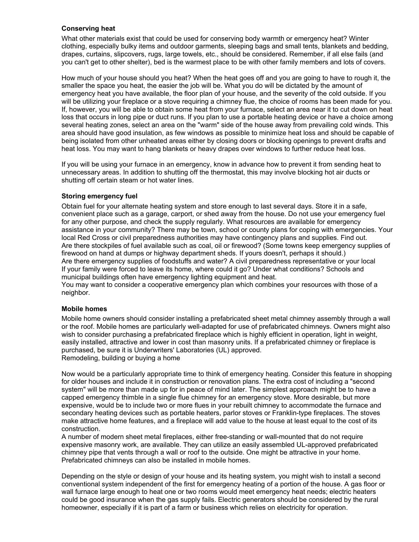### **Conserving heat**

What other materials exist that could be used for conserving body warmth or emergency heat? Winter clothing, especially bulky items and outdoor garments, sleeping bags and small tents, blankets and bedding, drapes, curtains, slipcovers, rugs, large towels, etc., should be considered. Remember, if all else fails (and you can't get to other shelter), bed is the warmest place to be with other family members and lots of covers.

How much of your house should you heat? When the heat goes off and you are going to have to rough it, the smaller the space you heat, the easier the job will be. What you do will be dictated by the amount of emergency heat you have available, the floor plan of your house, and the severity of the cold outside. If you will be utilizing your fireplace or a stove requiring a chimney flue, the choice of rooms has been made for you. If, however, you will be able to obtain some heat from your furnace, select an area near it to cut down on heat loss that occurs in long pipe or duct runs. If you plan to use a portable heating device or have a choice among several heating zones, select an area on the "warm" side of the house away from prevailing cold winds. This area should have good insulation, as few windows as possible to minimize heat loss and should be capable of being isolated from other unheated areas either by closing doors or blocking openings to prevent drafts and heat loss. You may want to hang blankets or heavy drapes over windows to further reduce heat loss.

If you will be using your furnace in an emergency, know in advance how to prevent it from sending heat to unnecessary areas. In addition to shutting off the thermostat, this may involve blocking hot air ducts or shutting off certain steam or hot water lines.

# **Storing emergency fuel**

Obtain fuel for your alternate heating system and store enough to last several days. Store it in a safe, convenient place such as a garage, carport, or shed away from the house. Do not use your emergency fuel for any other purpose, and check the supply regularly. What resources are available for emergency assistance in your community? There may be town, school or county plans for coping with emergencies. Your local Red Cross or civil preparedness authorities may have contingency plans and supplies. Find out. Are there stockpiles of fuel available such as coal, oil or firewood? (Some towns keep emergency supplies of firewood on hand at dumps or highway department sheds. If yours doesn't, perhaps it should.) Are there emergency supplies of foodstuffs and water? A civil preparedness representative or your local If your family were forced to leave its home, where could it go? Under what conditions? Schools and municipal buildings often have emergency lighting equipment and heat.

You may want to consider a cooperative emergency plan which combines your resources with those of a neighbor.

#### **Mobile homes**

Mobile home owners should consider installing a prefabricated sheet metal chimney assembly through a wall or the roof. Mobile homes are particularly well-adapted for use of prefabricated chimneys. Owners might also wish to consider purchasing a prefabricated fireplace which is highly efficient in operation, light in weight, easily installed, attractive and lower in cost than masonry units. If a prefabricated chimney or fireplace is purchased, be sure it is Underwriters' Laboratories (UL) approved. Remodeling, building or buying a home

Now would be a particularly appropriate time to think of emergency heating. Consider this feature in shopping for older houses and include it in construction or renovation plans. The extra cost of including a "second system" will be more than made up for in peace of mind later. The simplest approach might be to have a capped emergency thimble in a single flue chimney for an emergency stove. More desirable, but more expensive, would be to include two or more flues in your rebuilt chimney to accommodate the furnace and secondary heating devices such as portable heaters, parlor stoves or Franklin-type fireplaces. The stoves make attractive home features, and a fireplace will add value to the house at least equal to the cost of its construction.

A number of modern sheet metal fireplaces, either free-standing or wall-mounted that do not require expensive masonry work, are available. They can utilize an easily assembled UL-approved prefabricated chimney pipe that vents through a wall or roof to the outside. One might be attractive in your home. Prefabricated chimneys can also be installed in mobile homes.

Depending on the style or design of your house and its heating system, you might wish to install a second conventional system independent of the first for emergency heating of a portion of the house. A gas floor or wall furnace large enough to heat one or two rooms would meet emergency heat needs; electric heaters could be good insurance when the gas supply fails. Electric generators should be considered by the rural homeowner, especially if it is part of a farm or business which relies on electricity for operation.